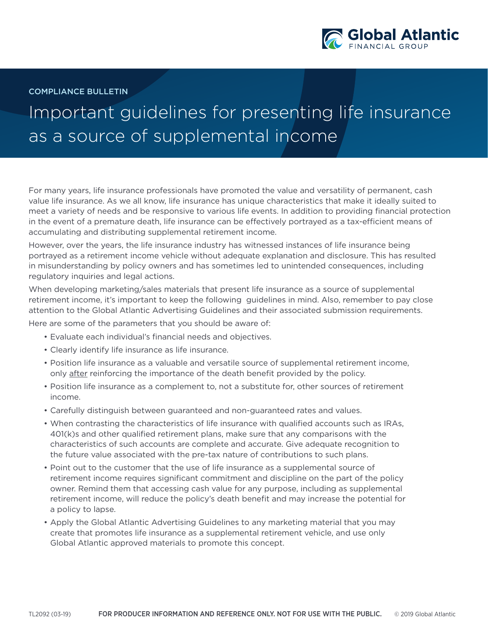

COMPLIANCE BULLETIN

## Important guidelines for presenting life insurance as a source of supplemental income

For many years, life insurance professionals have promoted the value and versatility of permanent, cash value life insurance. As we all know, life insurance has unique characteristics that make it ideally suited to meet a variety of needs and be responsive to various life events. In addition to providing financial protection in the event of a premature death, life insurance can be effectively portrayed as a tax-efficient means of accumulating and distributing supplemental retirement income.

However, over the years, the life insurance industry has witnessed instances of life insurance being portrayed as a retirement income vehicle without adequate explanation and disclosure. This has resulted in misunderstanding by policy owners and has sometimes led to unintended consequences, including regulatory inquiries and legal actions.

When developing marketing/sales materials that present life insurance as a source of supplemental retirement income, it's important to keep the following guidelines in mind. Also, remember to pay close attention to the Global Atlantic Advertising Guidelines and their associated submission requirements.

Here are some of the parameters that you should be aware of:

- Evaluate each individual's financial needs and objectives.
- Clearly identify life insurance as life insurance.
- Position life insurance as a valuable and versatile source of supplemental retirement income, only after reinforcing the importance of the death benefit provided by the policy.
- Position life insurance as a complement to, not a substitute for, other sources of retirement income.
- Carefully distinguish between guaranteed and non-guaranteed rates and values.
- When contrasting the characteristics of life insurance with qualified accounts such as IRAs, 401(k)s and other qualified retirement plans, make sure that any comparisons with the characteristics of such accounts are complete and accurate. Give adequate recognition to the future value associated with the pre-tax nature of contributions to such plans.
- Point out to the customer that the use of life insurance as a supplemental source of retirement income requires significant commitment and discipline on the part of the policy owner. Remind them that accessing cash value for any purpose, including as supplemental retirement income, will reduce the policy's death benefit and may increase the potential for a policy to lapse.
- Apply the Global Atlantic Advertising Guidelines to any marketing material that you may create that promotes life insurance as a supplemental retirement vehicle, and use only Global Atlantic approved materials to promote this concept.